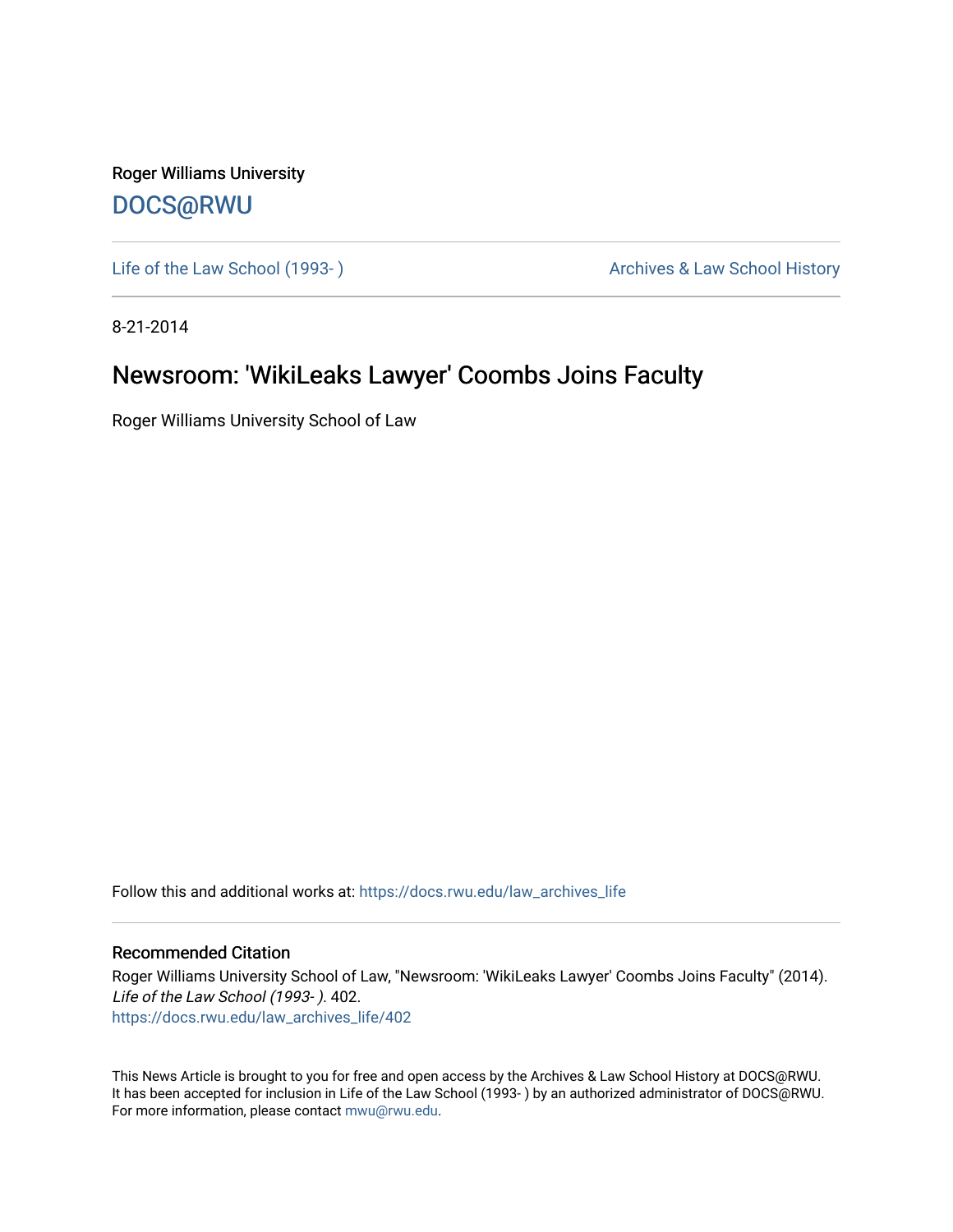Roger Williams University [DOCS@RWU](https://docs.rwu.edu/)

Life of the Law School (1993-) and the Law School History Archives & Law School History

8-21-2014

## Newsroom: 'WikiLeaks Lawyer' Coombs Joins Faculty

Roger Williams University School of Law

Follow this and additional works at: [https://docs.rwu.edu/law\\_archives\\_life](https://docs.rwu.edu/law_archives_life?utm_source=docs.rwu.edu%2Flaw_archives_life%2F402&utm_medium=PDF&utm_campaign=PDFCoverPages)

## Recommended Citation

Roger Williams University School of Law, "Newsroom: 'WikiLeaks Lawyer' Coombs Joins Faculty" (2014). Life of the Law School (1993- ). 402. [https://docs.rwu.edu/law\\_archives\\_life/402](https://docs.rwu.edu/law_archives_life/402?utm_source=docs.rwu.edu%2Flaw_archives_life%2F402&utm_medium=PDF&utm_campaign=PDFCoverPages)

This News Article is brought to you for free and open access by the Archives & Law School History at DOCS@RWU. It has been accepted for inclusion in Life of the Law School (1993- ) by an authorized administrator of DOCS@RWU. For more information, please contact [mwu@rwu.edu](mailto:mwu@rwu.edu).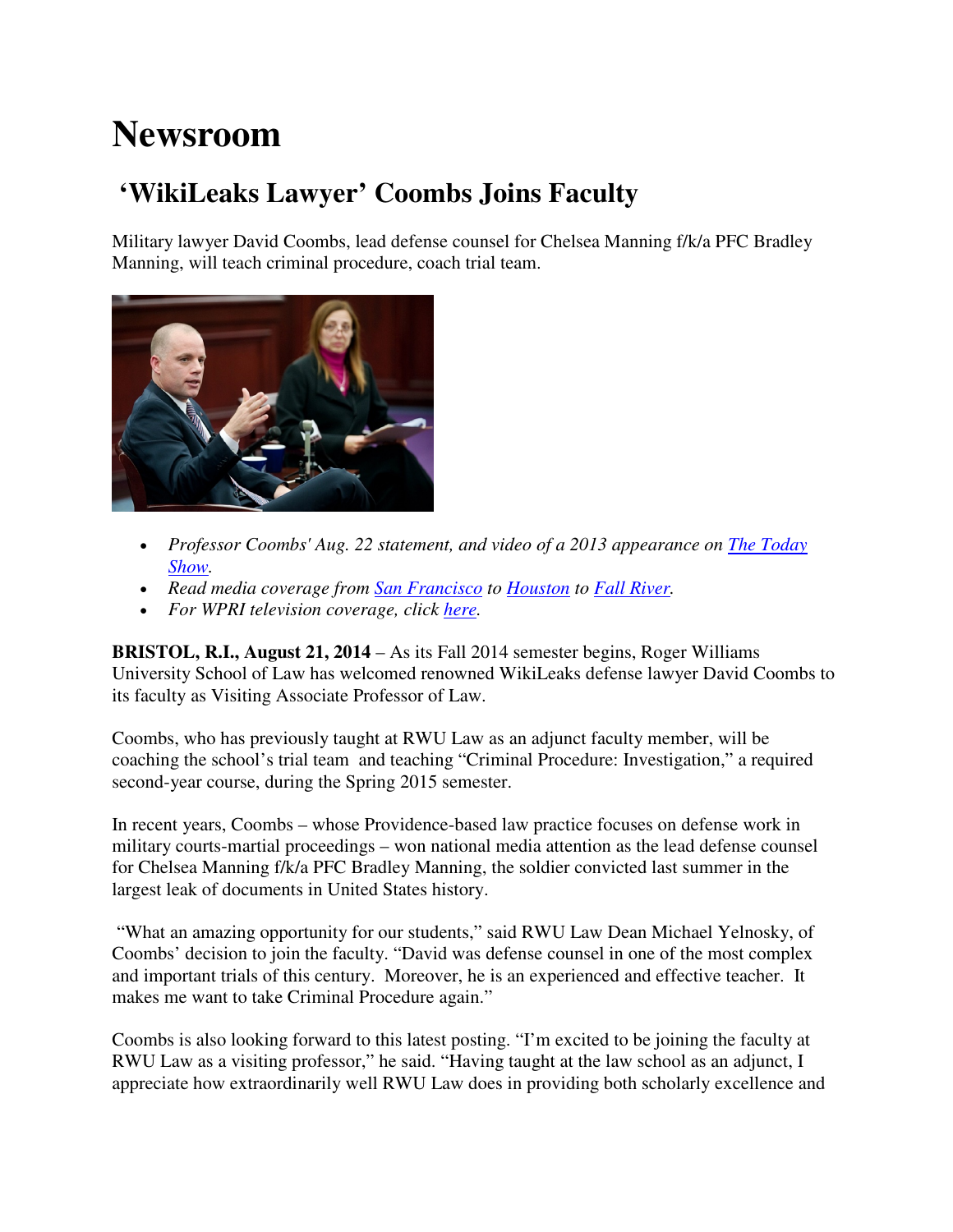## **Newsroom**

## **'WikiLeaks Lawyer' Coombs Joins Faculty**

Military lawyer David Coombs, lead defense counsel for Chelsea Manning f/k/a PFC Bradley Manning, will teach criminal procedure, coach trial team.



- *Professor Coombs' Aug. 22 statement, and video of a 2013 appearance on The Today Show.*
- *Read media coverage from San Francisco to Houston to Fall River.*
- *For WPRI television coverage, click here.*

**BRISTOL, R.I., August 21, 2014** – As its Fall 2014 semester begins, Roger Williams University School of Law has welcomed renowned WikiLeaks defense lawyer David Coombs to its faculty as Visiting Associate Professor of Law.

Coombs, who has previously taught at RWU Law as an adjunct faculty member, will be coaching the school's trial team and teaching "Criminal Procedure: Investigation," a required second-year course, during the Spring 2015 semester.

In recent years, Coombs – whose Providence-based law practice focuses on defense work in military courts-martial proceedings – won national media attention as the lead defense counsel for Chelsea Manning f/k/a PFC Bradley Manning, the soldier convicted last summer in the largest leak of documents in United States history.

 "What an amazing opportunity for our students," said RWU Law Dean Michael Yelnosky, of Coombs' decision to join the faculty. "David was defense counsel in one of the most complex and important trials of this century. Moreover, he is an experienced and effective teacher. It makes me want to take Criminal Procedure again."

Coombs is also looking forward to this latest posting. "I'm excited to be joining the faculty at RWU Law as a visiting professor," he said. "Having taught at the law school as an adjunct, I appreciate how extraordinarily well RWU Law does in providing both scholarly excellence and